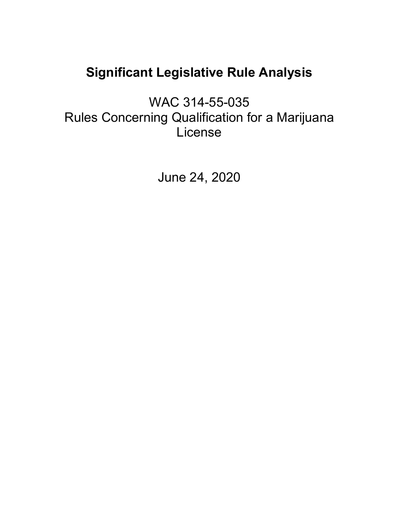# **Significant Legislative Rule Analysis**

WAC 314-55-035 Rules Concerning Qualification for a Marijuana License

June 24, 2020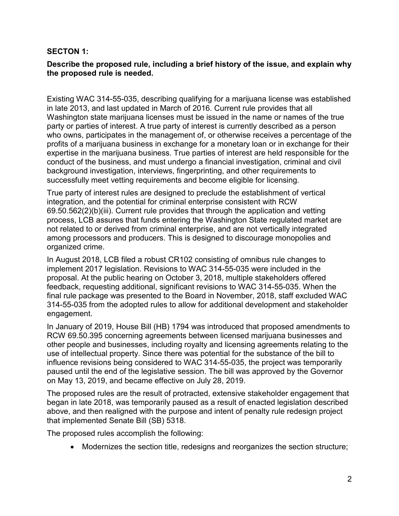#### **SECTON 1:**

#### **Describe the proposed rule, including a brief history of the issue, and explain why the proposed rule is needed.**

Existing WAC 314-55-035, describing qualifying for a marijuana license was established in late 2013, and last updated in March of 2016. Current rule provides that all Washington state marijuana licenses must be issued in the name or names of the true party or parties of interest. A true party of interest is currently described as a person who owns, participates in the management of, or otherwise receives a percentage of the profits of a marijuana business in exchange for a monetary loan or in exchange for their expertise in the marijuana business. True parties of interest are held responsible for the conduct of the business, and must undergo a financial investigation, criminal and civil background investigation, interviews, fingerprinting, and other requirements to successfully meet vetting requirements and become eligible for licensing.

True party of interest rules are designed to preclude the establishment of vertical integration, and the potential for criminal enterprise consistent with RCW 69.50.562(2)(b)(iii). Current rule provides that through the application and vetting process, LCB assures that funds entering the Washington State regulated market are not related to or derived from criminal enterprise, and are not vertically integrated among processors and producers. This is designed to discourage monopolies and organized crime.

In August 2018, LCB filed a robust CR102 consisting of omnibus rule changes to implement 2017 legislation. Revisions to WAC 314-55-035 were included in the proposal. At the public hearing on October 3, 2018, multiple stakeholders offered feedback, requesting additional, significant revisions to WAC 314-55-035. When the final rule package was presented to the Board in November, 2018, staff excluded WAC 314-55-035 from the adopted rules to allow for additional development and stakeholder engagement.

In January of 2019, House Bill (HB) 1794 was introduced that proposed amendments to RCW 69.50.395 concerning agreements between licensed marijuana businesses and other people and businesses, including royalty and licensing agreements relating to the use of intellectual property. Since there was potential for the substance of the bill to influence revisions being considered to WAC 314-55-035, the project was temporarily paused until the end of the legislative session. The bill was approved by the Governor on May 13, 2019, and became effective on July 28, 2019.

The proposed rules are the result of protracted, extensive stakeholder engagement that began in late 2018, was temporarily paused as a result of enacted legislation described above, and then realigned with the purpose and intent of penalty rule redesign project that implemented Senate Bill (SB) 5318.

The proposed rules accomplish the following:

• Modernizes the section title, redesigns and reorganizes the section structure;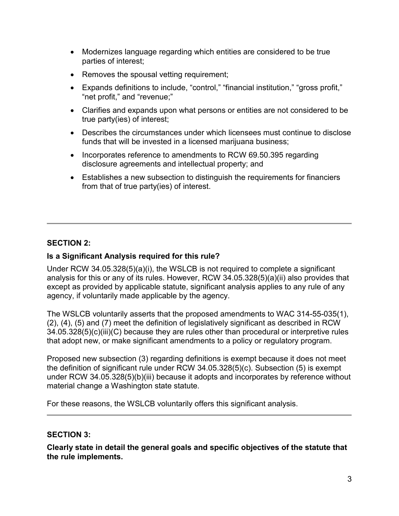- Modernizes language regarding which entities are considered to be true parties of interest;
- Removes the spousal vetting requirement;
- Expands definitions to include, "control," "financial institution," "gross profit," "net profit," and "revenue;"
- Clarifies and expands upon what persons or entities are not considered to be true party(ies) of interest;
- Describes the circumstances under which licensees must continue to disclose funds that will be invested in a licensed marijuana business;
- Incorporates reference to amendments to RCW 69.50.395 regarding disclosure agreements and intellectual property; and
- Establishes a new subsection to distinguish the requirements for financiers from that of true party(ies) of interest.

## **SECTION 2:**

#### **Is a Significant Analysis required for this rule?**

Under RCW 34.05.328(5)(a)(i), the WSLCB is not required to complete a significant analysis for this or any of its rules. However, RCW 34.05.328(5)(a)(ii) also provides that except as provided by applicable statute, significant analysis applies to any rule of any agency, if voluntarily made applicable by the agency.

The WSLCB voluntarily asserts that the proposed amendments to WAC 314-55-035(1), (2), (4), (5) and (7) meet the definition of legislatively significant as described in RCW 34.05.328(5)(c)(iii)(C) because they are rules other than procedural or interpretive rules that adopt new, or make significant amendments to a policy or regulatory program.

Proposed new subsection (3) regarding definitions is exempt because it does not meet the definition of significant rule under RCW 34.05.328(5)(c). Subsection (5) is exempt under RCW 34.05.328(5)(b)(iii) because it adopts and incorporates by reference without material change a Washington state statute.

For these reasons, the WSLCB voluntarily offers this significant analysis.

#### **SECTION 3:**

**Clearly state in detail the general goals and specific objectives of the statute that the rule implements.**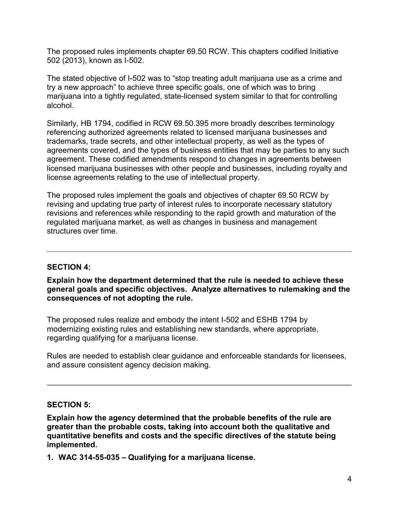The proposed rules implements chapter 69.50 RCW. This chapters codified Initiative 502 (2013), known as I-502.

The stated objective of I-502 was to "stop treating adult marijuana use as a crime and try a new approach" to achieve three specific goals, one of which was to bring marijuana into a tightly regulated, state-licensed system similar to that for controlling alcohol.

Similarly, HB 1794, codified in RCW 69.50.395 more broadly describes terminology referencing authorized agreements related to licensed marijuana businesses and trademarks, trade secrets, and other intellectual property, as well as the types of agreements covered, and the types of business entities that may be parties to any such agreement. These codified amendments respond to changes in agreements between licensed marijuana businesses with other people and businesses, including royalty and license agreements relating to the use of intellectual property.

The proposed rules implement the goals and objectives of chapter 69.50 RCW by revising and updating true party of interest rules to incorporate necessary statutory revisions and references while responding to the rapid growth and maturation of the regulated marijuana market, as well as changes in business and management structures over time.

#### **SECTION 4:**

**Explain how the department determined that the rule is needed to achieve these general goals and specific objectives. Analyze alternatives to rulemaking and the consequences of not adopting the rule.**

The proposed rules realize and embody the intent I-502 and ESHB 1794 by modernizing existing rules and establishing new standards, where appropriate, regarding qualifying for a marijuana license.

Rules are needed to establish clear guidance and enforceable standards for licensees, and assure consistent agency decision making.

#### **SECTION 5:**

**Explain how the agency determined that the probable benefits of the rule are greater than the probable costs, taking into account both the qualitative and quantitative benefits and costs and the specific directives of the statute being implemented.**

**1. WAC 314-55-035 – Qualifying for a marijuana license.**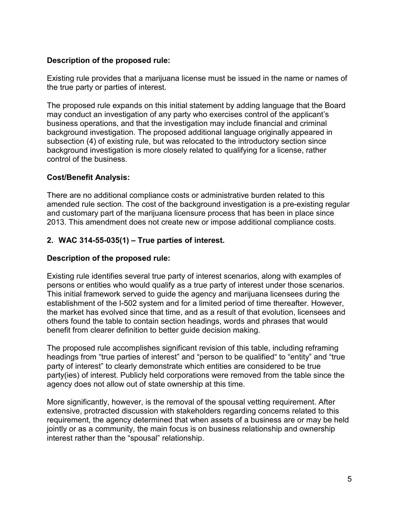## **Description of the proposed rule:**

Existing rule provides that a marijuana license must be issued in the name or names of the true party or parties of interest.

The proposed rule expands on this initial statement by adding language that the Board may conduct an investigation of any party who exercises control of the applicant's business operations, and that the investigation may include financial and criminal background investigation. The proposed additional language originally appeared in subsection (4) of existing rule, but was relocated to the introductory section since background investigation is more closely related to qualifying for a license, rather control of the business.

## **Cost/Benefit Analysis:**

There are no additional compliance costs or administrative burden related to this amended rule section. The cost of the background investigation is a pre-existing regular and customary part of the marijuana licensure process that has been in place since 2013. This amendment does not create new or impose additional compliance costs.

# **2. WAC 314-55-035(1) – True parties of interest.**

## **Description of the proposed rule:**

Existing rule identifies several true party of interest scenarios, along with examples of persons or entities who would qualify as a true party of interest under those scenarios. This initial framework served to guide the agency and marijuana licensees during the establishment of the I-502 system and for a limited period of time thereafter. However, the market has evolved since that time, and as a result of that evolution, licensees and others found the table to contain section headings, words and phrases that would benefit from clearer definition to better guide decision making.

The proposed rule accomplishes significant revision of this table, including reframing headings from "true parties of interest" and "person to be qualified" to "entity" and "true party of interest" to clearly demonstrate which entities are considered to be true party(ies) of interest. Publicly held corporations were removed from the table since the agency does not allow out of state ownership at this time.

More significantly, however, is the removal of the spousal vetting requirement. After extensive, protracted discussion with stakeholders regarding concerns related to this requirement, the agency determined that when assets of a business are or may be held jointly or as a community, the main focus is on business relationship and ownership interest rather than the "spousal" relationship.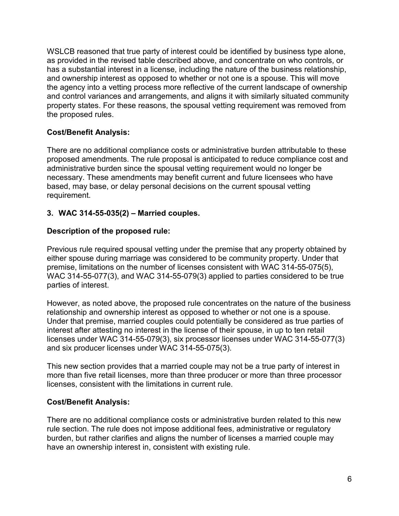WSLCB reasoned that true party of interest could be identified by business type alone, as provided in the revised table described above, and concentrate on who controls, or has a substantial interest in a license, including the nature of the business relationship, and ownership interest as opposed to whether or not one is a spouse. This will move the agency into a vetting process more reflective of the current landscape of ownership and control variances and arrangements, and aligns it with similarly situated community property states. For these reasons, the spousal vetting requirement was removed from the proposed rules.

## **Cost/Benefit Analysis:**

There are no additional compliance costs or administrative burden attributable to these proposed amendments. The rule proposal is anticipated to reduce compliance cost and administrative burden since the spousal vetting requirement would no longer be necessary. These amendments may benefit current and future licensees who have based, may base, or delay personal decisions on the current spousal vetting requirement.

#### **3. WAC 314-55-035(2) – Married couples.**

#### **Description of the proposed rule:**

Previous rule required spousal vetting under the premise that any property obtained by either spouse during marriage was considered to be community property. Under that premise, limitations on the number of licenses consistent with WAC 314-55-075(5), WAC 314-55-077(3), and WAC 314-55-079(3) applied to parties considered to be true parties of interest.

However, as noted above, the proposed rule concentrates on the nature of the business relationship and ownership interest as opposed to whether or not one is a spouse. Under that premise, married couples could potentially be considered as true parties of interest after attesting no interest in the license of their spouse, in up to ten retail licenses under WAC 314-55-079(3), six processor licenses under WAC 314-55-077(3) and six producer licenses under WAC 314-55-075(3).

This new section provides that a married couple may not be a true party of interest in more than five retail licenses, more than three producer or more than three processor licenses, consistent with the limitations in current rule.

#### **Cost/Benefit Analysis:**

There are no additional compliance costs or administrative burden related to this new rule section. The rule does not impose additional fees, administrative or regulatory burden, but rather clarifies and aligns the number of licenses a married couple may have an ownership interest in, consistent with existing rule.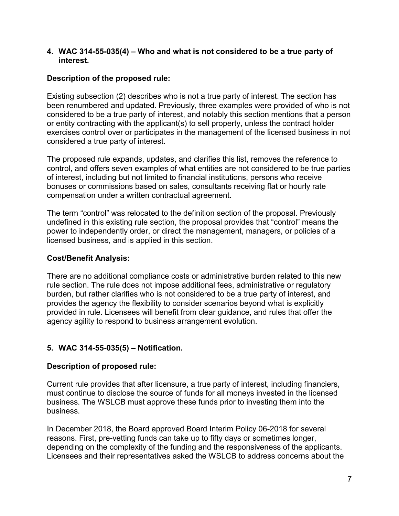#### **4. WAC 314-55-035(4) – Who and what is not considered to be a true party of interest.**

## **Description of the proposed rule:**

Existing subsection (2) describes who is not a true party of interest. The section has been renumbered and updated. Previously, three examples were provided of who is not considered to be a true party of interest, and notably this section mentions that a person or entity contracting with the applicant(s) to sell property, unless the contract holder exercises control over or participates in the management of the licensed business in not considered a true party of interest.

The proposed rule expands, updates, and clarifies this list, removes the reference to control, and offers seven examples of what entities are not considered to be true parties of interest, including but not limited to financial institutions, persons who receive bonuses or commissions based on sales, consultants receiving flat or hourly rate compensation under a written contractual agreement.

The term "control" was relocated to the definition section of the proposal. Previously undefined in this existing rule section, the proposal provides that "control" means the power to independently order, or direct the management, managers, or policies of a licensed business, and is applied in this section.

#### **Cost/Benefit Analysis:**

There are no additional compliance costs or administrative burden related to this new rule section. The rule does not impose additional fees, administrative or regulatory burden, but rather clarifies who is not considered to be a true party of interest, and provides the agency the flexibility to consider scenarios beyond what is explicitly provided in rule. Licensees will benefit from clear guidance, and rules that offer the agency agility to respond to business arrangement evolution.

## **5. WAC 314-55-035(5) – Notification.**

## **Description of proposed rule:**

Current rule provides that after licensure, a true party of interest, including financiers, must continue to disclose the source of funds for all moneys invested in the licensed business. The WSLCB must approve these funds prior to investing them into the business.

In December 2018, the Board approved Board Interim Policy 06-2018 for several reasons. First, pre-vetting funds can take up to fifty days or sometimes longer, depending on the complexity of the funding and the responsiveness of the applicants. Licensees and their representatives asked the WSLCB to address concerns about the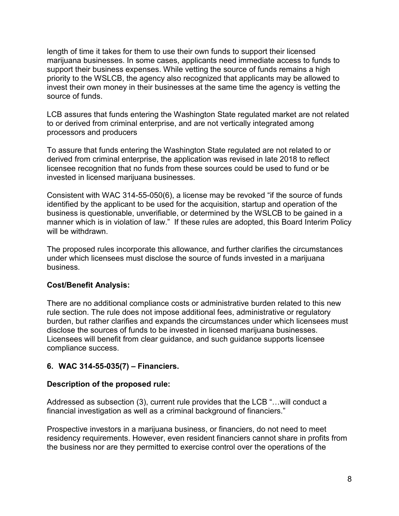length of time it takes for them to use their own funds to support their licensed marijuana businesses. In some cases, applicants need immediate access to funds to support their business expenses. While vetting the source of funds remains a high priority to the WSLCB, the agency also recognized that applicants may be allowed to invest their own money in their businesses at the same time the agency is vetting the source of funds.

LCB assures that funds entering the Washington State regulated market are not related to or derived from criminal enterprise, and are not vertically integrated among processors and producers

To assure that funds entering the Washington State regulated are not related to or derived from criminal enterprise, the application was revised in late 2018 to reflect licensee recognition that no funds from these sources could be used to fund or be invested in licensed marijuana businesses.

Consistent with WAC 314-55-050(6), a license may be revoked "if the source of funds identified by the applicant to be used for the acquisition, startup and operation of the business is questionable, unverifiable, or determined by the WSLCB to be gained in a manner which is in violation of law." If these rules are adopted, this Board Interim Policy will be withdrawn.

The proposed rules incorporate this allowance, and further clarifies the circumstances under which licensees must disclose the source of funds invested in a marijuana business.

## **Cost/Benefit Analysis:**

There are no additional compliance costs or administrative burden related to this new rule section. The rule does not impose additional fees, administrative or regulatory burden, but rather clarifies and expands the circumstances under which licensees must disclose the sources of funds to be invested in licensed marijuana businesses. Licensees will benefit from clear guidance, and such guidance supports licensee compliance success.

## **6. WAC 314-55-035(7) – Financiers.**

#### **Description of the proposed rule:**

Addressed as subsection (3), current rule provides that the LCB "…will conduct a financial investigation as well as a criminal background of financiers."

Prospective investors in a marijuana business, or financiers, do not need to meet residency requirements. However, even resident financiers cannot share in profits from the business nor are they permitted to exercise control over the operations of the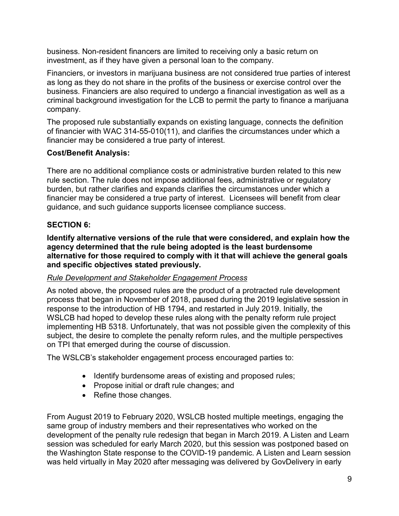business. Non-resident financers are limited to receiving only a basic return on investment, as if they have given a personal loan to the company.

Financiers, or investors in marijuana business are not considered true parties of interest as long as they do not share in the profits of the business or exercise control over the business. Financiers are also required to undergo a financial investigation as well as a criminal background investigation for the LCB to permit the party to finance a marijuana company.

The proposed rule substantially expands on existing language, connects the definition of financier with WAC 314-55-010(11), and clarifies the circumstances under which a financier may be considered a true party of interest.

# **Cost/Benefit Analysis:**

There are no additional compliance costs or administrative burden related to this new rule section. The rule does not impose additional fees, administrative or regulatory burden, but rather clarifies and expands clarifies the circumstances under which a financier may be considered a true party of interest. Licensees will benefit from clear guidance, and such guidance supports licensee compliance success.

# **SECTION 6:**

**Identify alternative versions of the rule that were considered, and explain how the agency determined that the rule being adopted is the least burdensome alternative for those required to comply with it that will achieve the general goals and specific objectives stated previously.**

# *Rule Development and Stakeholder Engagement Process*

As noted above, the proposed rules are the product of a protracted rule development process that began in November of 2018, paused during the 2019 legislative session in response to the introduction of HB 1794, and restarted in July 2019. Initially, the WSLCB had hoped to develop these rules along with the penalty reform rule project implementing HB 5318. Unfortunately, that was not possible given the complexity of this subject, the desire to complete the penalty reform rules, and the multiple perspectives on TPI that emerged during the course of discussion.

The WSLCB's stakeholder engagement process encouraged parties to:

- Identify burdensome areas of existing and proposed rules;
- Propose initial or draft rule changes; and
- Refine those changes.

From August 2019 to February 2020, WSLCB hosted multiple meetings, engaging the same group of industry members and their representatives who worked on the development of the penalty rule redesign that began in March 2019. A Listen and Learn session was scheduled for early March 2020, but this session was postponed based on the Washington State response to the COVID-19 pandemic. A Listen and Learn session was held virtually in May 2020 after messaging was delivered by GovDelivery in early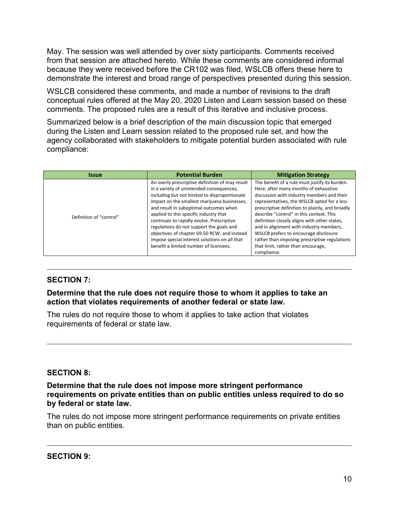May. The session was well attended by over sixty participants. Comments received from that session are attached hereto. While these comments are considered informal because they were received before the CR102 was filed, WSLCB offers these here to demonstrate the interest and broad range of perspectives presented during this session.

WSLCB considered these comments, and made a number of revisions to the draft conceptual rules offered at the May 20, 2020 Listen and Learn session based on these comments. The proposed rules are a result of this iterative and inclusive process.

Summarized below is a brief description of the main discussion topic that emerged during the Listen and Learn session related to the proposed rule set, and how the agency collaborated with stakeholders to mitigate potential burden associated with rule compliance:

| <i><u><b>Issue</b></u></i> | <b>Potential Burden</b>                                                                                                                                                                                                                                                                                                                                                                                                                                                                                              | <b>Mitigation Strategy</b>                                                                                                                                                                                                                                                                                                                                                                                                                                                                                                    |
|----------------------------|----------------------------------------------------------------------------------------------------------------------------------------------------------------------------------------------------------------------------------------------------------------------------------------------------------------------------------------------------------------------------------------------------------------------------------------------------------------------------------------------------------------------|-------------------------------------------------------------------------------------------------------------------------------------------------------------------------------------------------------------------------------------------------------------------------------------------------------------------------------------------------------------------------------------------------------------------------------------------------------------------------------------------------------------------------------|
| Definition of "control"    | An overly prescriptive definition of may result<br>in a variety of unintended consequences,<br>including but not limited to disproportionate<br>impact on the smallest marijuana businesses,<br>and result in suboptimal outcomes when<br>applied to this specific industry that<br>continues to rapidly evolve. Prescriptive<br>regulations do not support the goals and<br>objectives of chapter 69.50 RCW, and instead<br>impose special interest solutions on all that<br>benefit a limited number of licensees. | The benefit of a rule must justify its burden.<br>Here, after many months of exhaustive<br>discussion with industry members and their<br>representatives, the WSLCB opted for a less<br>prescriptive definition to plainly, and broadly<br>describe "control" in this context. This<br>definition closely aligns with other states,<br>and in alignment with industry members,<br>WSLCB prefers to encourage disclosure<br>rather than imposing prescriptive regulations<br>that limit, rather than encourage,<br>compliance. |

#### **SECTION 7:**

**Determine that the rule does not require those to whom it applies to take an action that violates requirements of another federal or state law.** 

The rules do not require those to whom it applies to take action that violates requirements of federal or state law.

#### **SECTION 8:**

**Determine that the rule does not impose more stringent performance requirements on private entities than on public entities unless required to do so by federal or state law.**

The rules do not impose more stringent performance requirements on private entities than on public entities.

**SECTION 9:**